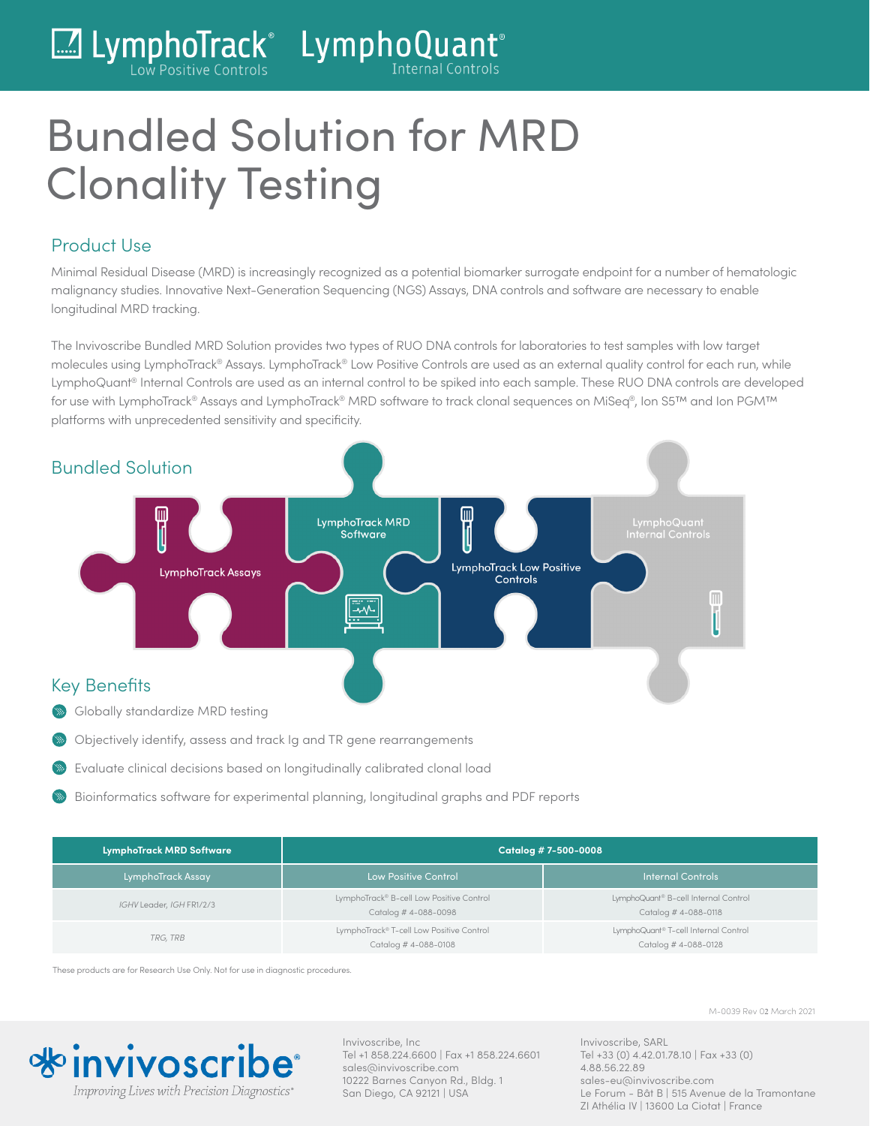

# Bundled Solution for MRD Clonality Testing

#### Product Use

Minimal Residual Disease (MRD) is increasingly recognized as a potential biomarker surrogate endpoint for a number of hematologic malignancy studies. Innovative Next-Generation Sequencing (NGS) Assays, DNA controls and software are necessary to enable longitudinal MRD tracking.

The Invivoscribe Bundled MRD Solution provides two types of RUO DNA controls for laboratories to test samples with low target molecules using LymphoTrack® Assays. LymphoTrack® Low Positive Controls are used as an external quality control for each run, while LymphoQuant® Internal Controls are used as an internal control to be spiked into each sample. These RUO DNA controls are developed for use with LymphoTrack® Assays and LymphoTrack® MRD software to track clonal sequences on MiSeq®, Ion S5™ and Ion PGM™ platforms with unprecedented sensitivity and specificity.



- Objectively identify, assess and track Ig and TR gene rearrangements
- Evaluate clinical decisions based on longitudinally calibrated clonal load
- Bioinformatics software for experimental planning, longitudinal graphs and PDF reports

| <b>LymphoTrack MRD Software</b> | Catalog # 7-500-0008                                             |                                                              |
|---------------------------------|------------------------------------------------------------------|--------------------------------------------------------------|
| LymphoTrack Assay               | Llow Positive Control                                            | <b>Internal Controls</b>                                     |
| IGHV Leader, IGH FR1/2/3        | LymphoTrack® B-cell Low Positive Control<br>Catalog # 4-088-0098 | LymphoQuant® B-cell Internal Control<br>Catalog # 4-088-0118 |
| TRG, TRB                        | LymphoTrack® T-cell Low Positive Control<br>Catalog #4-088-0108  | LymphoQuant® T-cell Internal Control<br>Catalog # 4-088-0128 |

These products are for Research Use Only. Not for use in diagnostic procedures.



Invivoscribe, Inc Tel +1 858.224.6600 | Fax +1 858.224.6601 sales@invivoscribe.com 10222 Barnes Canyon Rd., Bldg. 1 San Diego, CA 92121 | USA

M-0039 Rev 02 March 2021

Invivoscribe, SARL Tel +33 (0) 4.42.01.78.10 | Fax +33 (0) 4.88.56.22.89 sales-eu@invivoscribe.com Le Forum - Bât B | 515 Avenue de la Tramontane ZI Athélia IV | 13600 La Ciotat | France